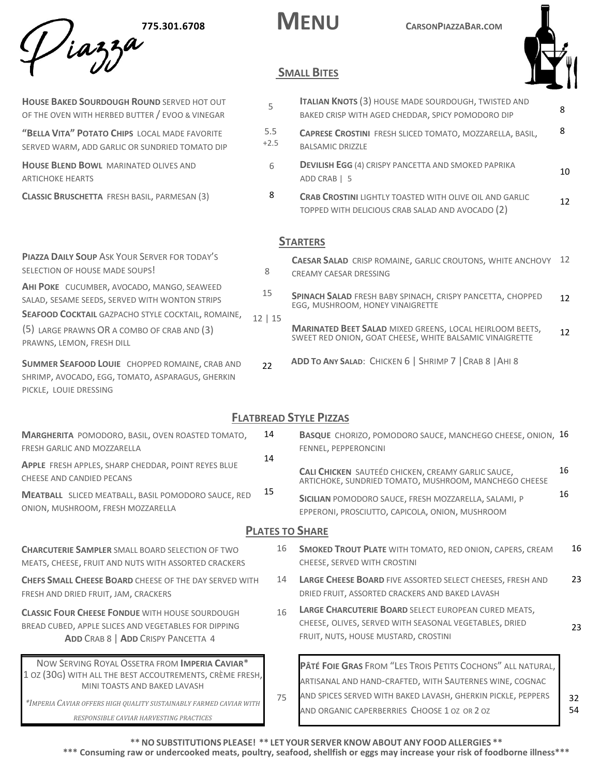**775.301.6708 MENU CARSONPIAZZABAR.COM** 



# **SMALL BITES**

| HOUSE BAKED SOURDOUGH ROUND SERVED HOT OUT<br>OF THE OVEN WITH HERBED BUTTER / EVOO & VINEGAR                                                        | 5             | <b>ITALIAN KNOTS (3) HOUSE MADE SOURDOUGH, TWISTED AND</b><br>BAKED CRISP WITH AGED CHEDDAR, SPICY POMODORO DIP                                        | 8  |
|------------------------------------------------------------------------------------------------------------------------------------------------------|---------------|--------------------------------------------------------------------------------------------------------------------------------------------------------|----|
| "BELLA VITA" POTATO CHIPS LOCAL MADE FAVORITE<br>SERVED WARM, ADD GARLIC OR SUNDRIED TOMATO DIP                                                      | 5.5<br>$+2.5$ | <b>CAPRESE CROSTINI FRESH SLICED TOMATO, MOZZARELLA, BASIL,</b><br><b>BALSAMIC DRIZZLE</b>                                                             | 8  |
| <b>HOUSE BLEND BOWL MARINATED OLIVES AND</b><br><b>ARTICHOKE HEARTS</b>                                                                              | 6             | <b>DEVILISH EGG (4) CRISPY PANCETTA AND SMOKED PAPRIKA</b><br>ADD CRAB   5                                                                             | 10 |
| CLASSIC BRUSCHETTA FRESH BASIL, PARMESAN (3)                                                                                                         | 8             | <b>CRAB CROSTINI LIGHTLY TOASTED WITH OLIVE OIL AND GARLIC</b><br>TOPPED WITH DELICIOUS CRAB SALAD AND AVOCADO (2)                                     | 12 |
|                                                                                                                                                      |               | <b>STARTERS</b>                                                                                                                                        |    |
| <b>PIAZZA DAILY SOUP ASK YOUR SERVER FOR TODAY'S</b><br>SELECTION OF HOUSE MADE SOUPS!                                                               | 8             | <b>CAESAR SALAD</b> CRISP ROMAINE, GARLIC CROUTONS, WHITE ANCHOVY 12<br>CREAMY CAESAR DRESSING                                                         |    |
| AHI POKE CUCUMBER, AVOCADO, MANGO, SEAWEED<br>SALAD, SESAME SEEDS, SERVED WITH WONTON STRIPS                                                         | 15            | SPINACH SALAD FRESH BABY SPINACH, CRISPY PANCETTA, CHOPPED<br>EGG, MUSHROOM, HONEY VINAIGRETTE                                                         | 12 |
| SEAFOOD COCKTAIL GAZPACHO STYLE COCKTAIL, ROMAINE,<br>(5) LARGE PRAWNS OR A COMBO OF CRAB AND (3)<br>PRAWNS, LEMON, FRESH DILL                       | 12   15       | <b>MARINATED BEET SALAD MIXED GREENS, LOCAL HEIRLOOM BEETS,</b><br>SWEET RED ONION, GOAT CHEESE, WHITE BALSAMIC VINAIGRETTE                            | 12 |
| SUMMER SEAFOOD LOUIE CHOPPED ROMAINE, CRAB AND<br>SHRIMP, AVOCADO, EGG, TOMATO, ASPARAGUS, GHERKIN<br>PICKLE, LOUIE DRESSING                         | 22            | ADD TO ANY SALAD: CHICKEN 6   SHRIMP 7   CRAB 8   AHI 8                                                                                                |    |
|                                                                                                                                                      |               | <b>FLATBREAD STYLE PIZZAS</b>                                                                                                                          |    |
| <b>MARGHERITA POMODORO, BASIL, OVEN ROASTED TOMATO,</b><br>FRESH GARLIC AND MOZZARELLA                                                               | 14            | <b>BASQUE</b> CHORIZO, POMODORO SAUCE, MANCHEGO CHEESE, ONION, 16<br>FENNEL, PEPPERONCINI                                                              |    |
| APPLE FRESH APPLES, SHARP CHEDDAR, POINT REYES BLUE<br>CHEESE AND CANDIED PECANS                                                                     | 14            | CALI CHICKEN SAUTEÉD CHICKEN, CREAMY GARLIC SAUCE,<br>ARTICHOKE, SUNDRIED TOMATO, MUSHROOM, MANCHEGO CHEESE                                            | 16 |
| <b>MEATBALL</b> SLICED MEATBALL, BASIL POMODORO SAUCE, RED<br>ONION, MUSHROOM, FRESH MOZZARELLA                                                      | 15            | SICILIAN POMODORO SAUCE, FRESH MOZZARELLA, SALAMI, P<br>EPPERONI, PROSCIUTTO, CAPICOLA, ONION, MUSHROOM                                                | 16 |
|                                                                                                                                                      |               | <b>PLATES TO SHARE</b>                                                                                                                                 |    |
| <b>CHARCUTERIE SAMPLER SMALL BOARD SELECTION OF TWO</b><br>MEATS, CHEESE, FRUIT AND NUTS WITH ASSORTED CRACKERS                                      | 16            | <b>SMOKED TROUT PLATE WITH TOMATO, RED ONION, CAPERS, CREAM</b><br>CHEESE, SERVED WITH CROSTINI                                                        | 16 |
| CHEFS SMALL CHEESE BOARD CHEESE OF THE DAY SERVED WITH<br>FRESH AND DRIED FRUIT, JAM, CRACKERS                                                       | 14            | <b>LARGE CHEESE BOARD FIVE ASSORTED SELECT CHEESES, FRESH AND</b><br>DRIED FRUIT, ASSORTED CRACKERS AND BAKED LAVASH                                   | 23 |
| <b>CLASSIC FOUR CHEESE FONDUE WITH HOUSE SOURDOUGH</b><br>BREAD CUBED, APPLE SLICES AND VEGETABLES FOR DIPPING<br>ADD CRAB 8   ADD CRISPY PANCETTA 4 | 16            | LARGE CHARCUTERIE BOARD SELECT EUROPEAN CURED MEATS,<br>CHEESE, OLIVES, SERVED WITH SEASONAL VEGETABLES, DRIED<br>FRUIT, NUTS, HOUSE MUSTARD, CROSTINI | 23 |

NOW SERVING ROYAL OSSETRA FROM **IMPERIA CAVIAR**\* 1 OZ (30G) WITH ALL THE BEST ACCOUTREMENTS, CRÈME FRESH, MINI TOASTS AND BAKED LAVASH

*\*IMPERIA CAVIAR OFFERS HIGH QUALITY SUSTAINABLY FARMED CAVIAR WITH*

*RESPONSIBLE CAVIAR HARVESTING PRACTICES*

**\*\*NO SUBSTITUTIONS PLEASE! \*\* LET YOUR SERVER KNOW ABOUT ANY FOOD ALLERGIES \*\*** AND ORGANIC CAPERBERRIES CHOOSE 1 OZ OR 2 OZ 54

**PÂTÉ FOIE GRAS** FROM "LES TROIS PETITS COCHONS" ALL NATURAL, ARTISANAL AND HAND-CRAFTED, WITH SAUTERNES WINE, COGNAC AND SPICES SERVED WITH BAKED LAVASH, GHERKIN PICKLE, PEPPERS

32

**\*\*\* Consuming raw or undercooked meats, poultry, seafood, shellfish or eggs may increase your risk of foodborne illness\*\*\***

75